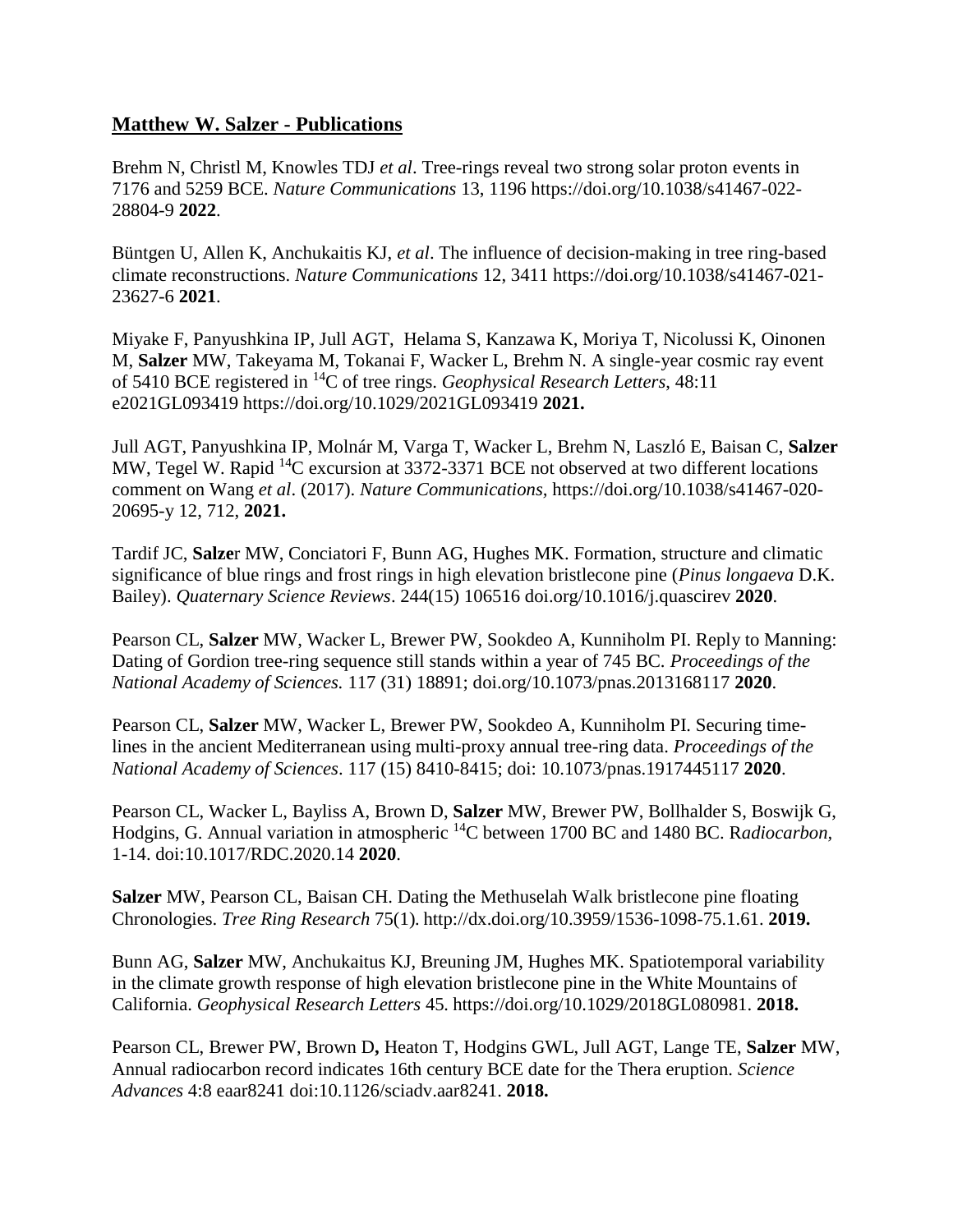## **Matthew W. Salzer - Publications**

Brehm N, Christl M, Knowles TDJ *et al*. Tree-rings reveal two strong solar proton events in 7176 and 5259 BCE. *Nature Communications* 13, 1196 https://doi.org/10.1038/s41467-022- 28804-9 **2022**.

Büntgen U, Allen K, Anchukaitis KJ, *et al*. The influence of decision-making in tree ring-based climate reconstructions. *Nature Communications* 12, 3411 https://doi.org/10.1038/s41467-021- 23627-6 **2021**.

Miyake F, Panyushkina IP, Jull AGT, Helama S, Kanzawa K, Moriya T, Nicolussi K, Oinonen M, **Salzer** MW, Takeyama M, Tokanai F, Wacker L, Brehm N. A single-year cosmic ray event of 5410 BCE registered in <sup>14</sup>C of tree rings. *Geophysical Research Letters*, 48:11 e2021GL093419 https://doi.org/10.1029/2021GL093419 **2021.**

Jull AGT, Panyushkina IP, Molnár M, Varga T, Wacker L, Brehm N, Laszló E, Baisan C, **Salzer** MW, Tegel W. Rapid <sup>14</sup>C excursion at 3372-3371 BCE not observed at two different locations comment on Wang *et al*. (2017). *Nature Communications,* https://doi.org/10.1038/s41467-020- 20695-y 12, 712, **2021.**

Tardif JC, **Salze**r MW, Conciatori F, Bunn AG, Hughes MK. Formation, structure and climatic significance of blue rings and frost rings in high elevation bristlecone pine (*Pinus longaeva* D.K. Bailey). *Quaternary Science Reviews*. 244(15) 106516 doi.org/10.1016/j.quascirev **2020**.

Pearson CL, **Salzer** MW, Wacker L, Brewer PW, Sookdeo A, Kunniholm PI. Reply to Manning: Dating of Gordion tree-ring sequence still stands within a year of 745 BC. *Proceedings of the National Academy of Sciences.* 117 (31) 18891; doi.org/10.1073/pnas.2013168117 **2020**.

Pearson CL, **Salzer** MW, Wacker L, Brewer PW, Sookdeo A, Kunniholm PI. Securing timelines in the ancient Mediterranean using multi-proxy annual tree-ring data. *Proceedings of the National Academy of Sciences*. 117 (15) 8410-8415; doi: 10.1073/pnas.1917445117 **2020**.

Pearson CL, Wacker L, Bayliss A, Brown D, **Salzer** MW, Brewer PW, Bollhalder S, Boswijk G, Hodgins, G. Annual variation in atmospheric <sup>14</sup>C between 1700 BC and 1480 BC. R*adiocarbon,* 1-14. doi:10.1017/RDC.2020.14 **2020**.

**Salzer** MW, Pearson CL, Baisan CH. Dating the Methuselah Walk bristlecone pine floating Chronologies. *Tree Ring Research* 75(1)*.* http://dx.doi.org/10.3959/1536-1098-75.1.61. **2019.**

Bunn AG, **Salzer** MW, Anchukaitus KJ, Breuning JM, Hughes MK. Spatiotemporal variability in the climate growth response of high elevation bristlecone pine in the White Mountains of California. *Geophysical Research Letters* 45*.* https://doi.org/10.1029/2018GL080981. **2018.**

Pearson CL, Brewer PW, Brown D**,** Heaton T, Hodgins GWL, Jull AGT, Lange TE, **Salzer** MW, Annual radiocarbon record indicates 16th century BCE date for the Thera eruption. *Science Advances* 4:8 eaar8241 doi:10.1126/sciadv.aar8241. **2018.**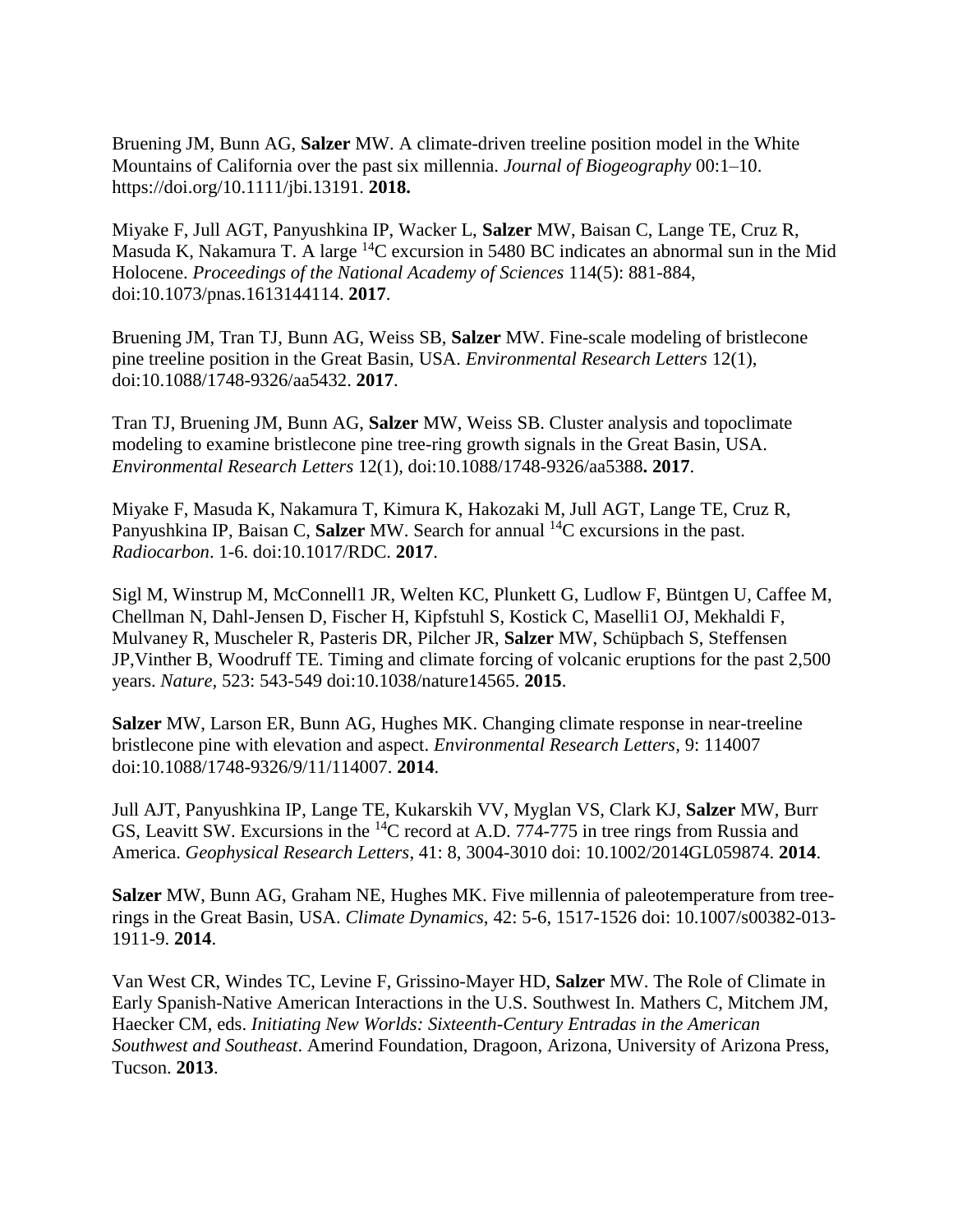Bruening JM, Bunn AG, **Salzer** MW. A climate-driven treeline position model in the White Mountains of California over the past six millennia. *Journal of Biogeography* 00:1–10. https://doi.org/10.1111/jbi.13191. **2018.**

Miyake F, Jull AGT, Panyushkina IP, Wacker L, **Salzer** MW, Baisan C, Lange TE, Cruz R, Masuda K, Nakamura T. A large  ${}^{14}C$  excursion in 5480 BC indicates an abnormal sun in the Mid Holocene. *Proceedings of the National Academy of Sciences* 114(5): 881-884, doi:10.1073/pnas.1613144114. **2017**.

Bruening JM, Tran TJ, Bunn AG, Weiss SB, **Salzer** MW. Fine-scale modeling of bristlecone pine treeline position in the Great Basin, USA. *Environmental Research Letters* 12(1), doi:10.1088/1748-9326/aa5432. **2017**.

Tran TJ, Bruening JM, Bunn AG, **Salzer** MW, Weiss SB. Cluster analysis and topoclimate modeling to examine bristlecone pine tree-ring growth signals in the Great Basin, USA. *Environmental Research Letters* 12(1), doi:10.1088/1748-9326/aa5388**. 2017**.

Miyake F, Masuda K, Nakamura T, Kimura K, Hakozaki M, Jull AGT, Lange TE, Cruz R, Panyushkina IP, Baisan C, Salzer MW. Search for annual <sup>14</sup>C excursions in the past. *Radiocarbon*. 1-6. doi:10.1017/RDC. **2017**.

Sigl M, Winstrup M, McConnell1 JR, Welten KC, Plunkett G, Ludlow F, Büntgen U, Caffee M, Chellman N, Dahl-Jensen D, Fischer H, Kipfstuhl S, Kostick C, Maselli1 OJ, Mekhaldi F, Mulvaney R, Muscheler R, Pasteris DR, Pilcher JR, **Salzer** MW, Schüpbach S, Steffensen JP,Vinther B, Woodruff TE. Timing and climate forcing of volcanic eruptions for the past 2,500 years. *Nature,* 523: 543-549 doi:10.1038/nature14565. **2015**.

**Salzer** MW, Larson ER, Bunn AG, Hughes MK. Changing climate response in near-treeline bristlecone pine with elevation and aspect. *Environmental Research Letters,* 9: 114007 doi:10.1088/1748-9326/9/11/114007. **2014**.

Jull AJT, Panyushkina IP, Lange TE, Kukarskih VV, Myglan VS, Clark KJ, **Salzer** MW, Burr GS, Leavitt SW. Excursions in the <sup>14</sup>C record at A.D. 774-775 in tree rings from Russia and America. *Geophysical Research Letters*, 41: 8, 3004-3010 doi: 10.1002/2014GL059874. **2014**.

**Salzer** MW, Bunn AG, Graham NE, Hughes MK. Five millennia of paleotemperature from treerings in the Great Basin, USA. *Climate Dynamics*, 42: 5-6, 1517-1526 doi: 10.1007/s00382-013- 1911-9. **2014**.

Van West CR, Windes TC, Levine F, Grissino-Mayer HD, **Salzer** MW. The Role of Climate in Early Spanish-Native American Interactions in the U.S. Southwest In. Mathers C, Mitchem JM, Haecker CM, eds. *Initiating New Worlds: Sixteenth-Century Entradas in the American Southwest and Southeast*. Amerind Foundation, Dragoon, Arizona, University of Arizona Press, Tucson. **2013**.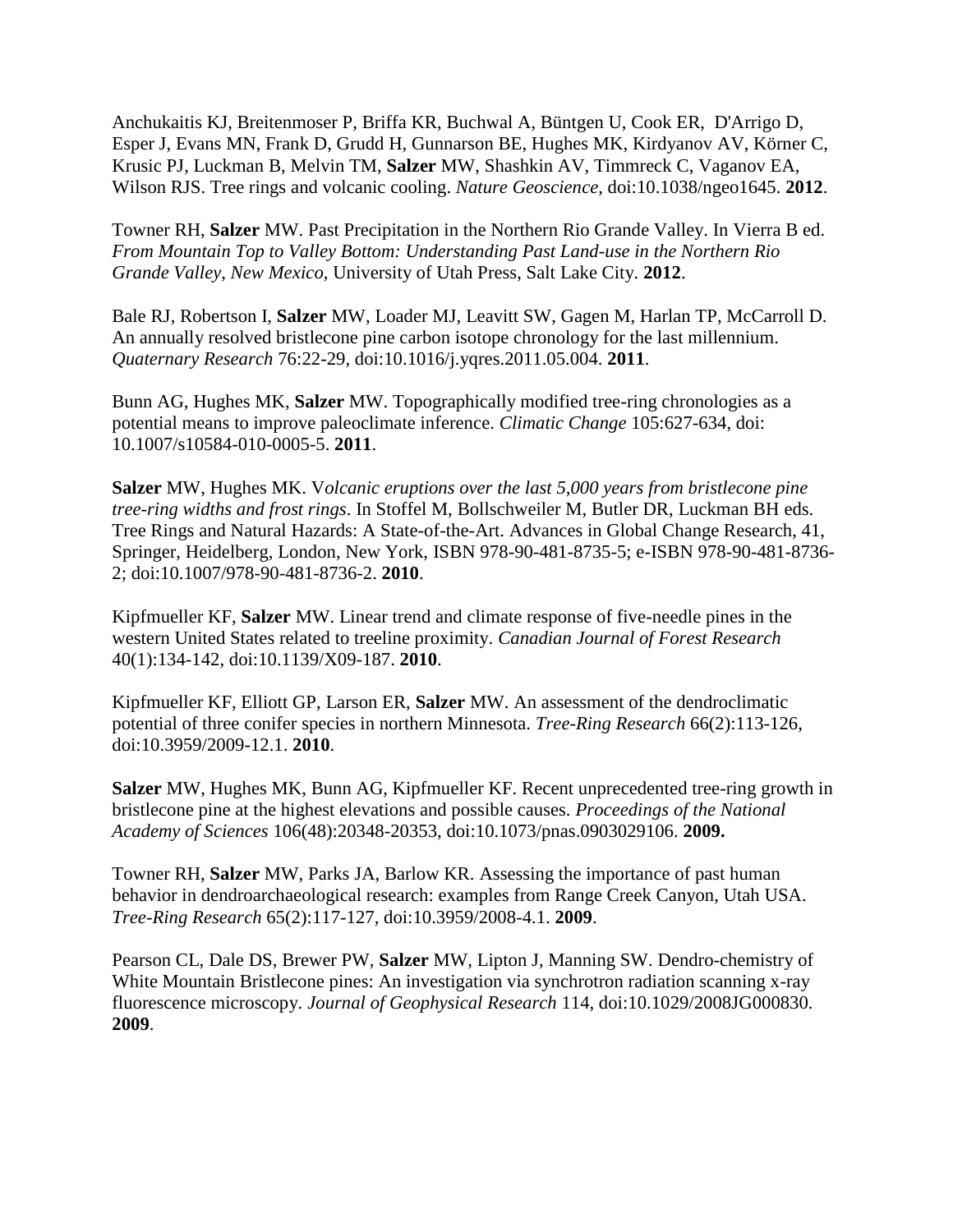Anchukaitis KJ, Breitenmoser P, Briffa KR, Buchwal A, Büntgen U, Cook ER, D'Arrigo D, Esper J, Evans MN, Frank D, Grudd H, Gunnarson BE, Hughes MK, Kirdyanov AV, Körner C, Krusic PJ, Luckman B, Melvin TM, **Salzer** MW, Shashkin AV, Timmreck C, Vaganov EA, Wilson RJS. Tree rings and volcanic cooling. *Nature Geoscience*, doi:10.1038/ngeo1645. **2012**.

Towner RH, **Salzer** MW. Past Precipitation in the Northern Rio Grande Valley. In Vierra B ed. *From Mountain Top to Valley Bottom: Understanding Past Land-use in the Northern Rio Grande Valley, New Mexico*, University of Utah Press, Salt Lake City. **2012**.

Bale RJ, Robertson I, **Salzer** MW, Loader MJ, Leavitt SW, Gagen M, Harlan TP, McCarroll D. An annually resolved bristlecone pine carbon isotope chronology for the last millennium. *Quaternary Research* 76:22-29, doi:10.1016/j.yqres.2011.05.004. **2011**.

Bunn AG, Hughes MK, **Salzer** MW. Topographically modified tree-ring chronologies as a potential means to improve paleoclimate inference. *Climatic Change* 105:627-634, doi: 10.1007/s10584-010-0005-5. **2011**.

**Salzer** MW, Hughes MK. V*olcanic eruptions over the last 5,000 years from bristlecone pine tree-ring widths and frost rings*. In Stoffel M, Bollschweiler M, Butler DR, Luckman BH eds. Tree Rings and Natural Hazards: A State-of-the-Art. Advances in Global Change Research, 41, Springer, Heidelberg, London, New York, ISBN 978-90-481-8735-5; e-ISBN 978-90-481-8736- 2; doi:10.1007/978-90-481-8736-2. **2010**.

Kipfmueller KF, **Salzer** MW. Linear trend and climate response of five-needle pines in the western United States related to treeline proximity. *Canadian Journal of Forest Research*  40(1):134-142, doi:10.1139/X09-187. **2010**.

Kipfmueller KF, Elliott GP, Larson ER, **Salzer** MW. An assessment of the dendroclimatic potential of three conifer species in northern Minnesota. *Tree-Ring Research* 66(2):113-126, doi:10.3959/2009-12.1. **2010**.

**Salzer** MW, Hughes MK, Bunn AG, Kipfmueller KF. Recent unprecedented tree-ring growth in bristlecone pine at the highest elevations and possible causes. *Proceedings of the National Academy of Sciences* 106(48):20348-20353, doi:10.1073/pnas.0903029106. **2009.**

Towner RH, **Salzer** MW, Parks JA, Barlow KR. Assessing the importance of past human behavior in dendroarchaeological research: examples from Range Creek Canyon, Utah USA. *Tree-Ring Research* 65(2):117-127, doi:10.3959/2008-4.1. **2009**.

Pearson CL, Dale DS, Brewer PW, **Salzer** MW, Lipton J, Manning SW. Dendro-chemistry of White Mountain Bristlecone pines: An investigation via synchrotron radiation scanning x-ray fluorescence microscopy. *Journal of Geophysical Research* 114, doi:10.1029/2008JG000830. **2009**.